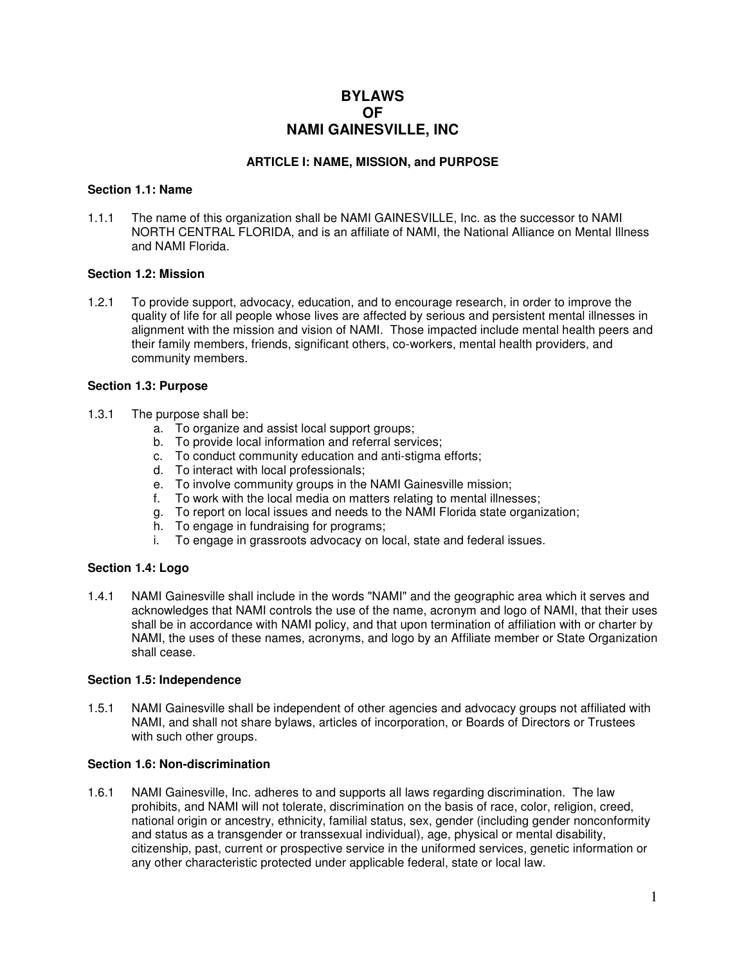# **BYLAWS OF NAMI GAINESVILLE, INC**

#### **ARTICLE I: NAME, MISSION, and PURPOSE**

#### **Section 1.1: Name**

1.1.1 The name of this organization shall be NAMI GAINESVILLE, Inc. as the successor to NAMI NORTH CENTRAL FLORIDA, and is an affiliate of NAMI, the National Alliance on Mental Illness and NAMI Florida.

#### **Section 1.2: Mission**

1.2.1 To provide support, advocacy, education, and to encourage research, in order to improve the quality of life for all people whose lives are affected by serious and persistent mental illnesses in alignment with the mission and vision of NAMI. Those impacted include mental health peers and their family members, friends, significant others, co-workers, mental health providers, and community members.

#### **Section 1.3: Purpose**

- 1.3.1 The purpose shall be:
	- a. To organize and assist local support groups;
	- b. To provide local information and referral services;
	- c. To conduct community education and anti-stigma efforts;
	- d. To interact with local professionals;
	- e. To involve community groups in the NAMI Gainesville mission;
	- f. To work with the local media on matters relating to mental illnesses;
	- g. To report on local issues and needs to the NAMI Florida state organization;
	- h. To engage in fundraising for programs;
	- i. To engage in grassroots advocacy on local, state and federal issues.

#### **Section 1.4: Logo**

1.4.1 NAMI Gainesville shall include in the words "NAMI" and the geographic area which it serves and acknowledges that NAMI controls the use of the name, acronym and logo of NAMI, that their uses shall be in accordance with NAMI policy, and that upon termination of affiliation with or charter by NAMI, the uses of these names, acronyms, and logo by an Affiliate member or State Organization shall cease.

#### **Section 1.5: Independence**

1.5.1 NAMI Gainesville shall be independent of other agencies and advocacy groups not affiliated with NAMI, and shall not share bylaws, articles of incorporation, or Boards of Directors or Trustees with such other groups.

### **Section 1.6: Non-discrimination**

1.6.1 NAMI Gainesville, Inc. adheres to and supports all laws regarding discrimination. The law prohibits, and NAMI will not tolerate, discrimination on the basis of race, color, religion, creed, national origin or ancestry, ethnicity, familial status, sex, gender (including gender nonconformity and status as a transgender or transsexual individual), age, physical or mental disability, citizenship, past, current or prospective service in the uniformed services, genetic information or any other characteristic protected under applicable federal, state or local law.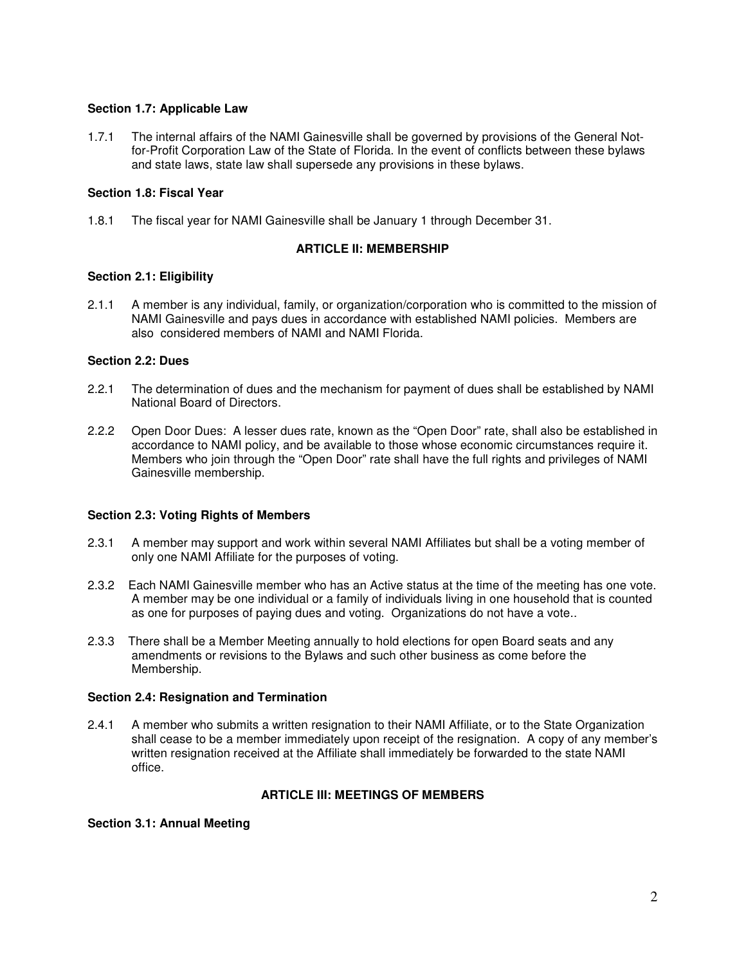### **Section 1.7: Applicable Law**

1.7.1 The internal affairs of the NAMI Gainesville shall be governed by provisions of the General Notfor-Profit Corporation Law of the State of Florida. In the event of conflicts between these bylaws and state laws, state law shall supersede any provisions in these bylaws.

### **Section 1.8: Fiscal Year**

1.8.1 The fiscal year for NAMI Gainesville shall be January 1 through December 31.

### **ARTICLE II: MEMBERSHIP**

### **Section 2.1: Eligibility**

2.1.1 A member is any individual, family, or organization/corporation who is committed to the mission of NAMI Gainesville and pays dues in accordance with established NAMI policies. Members are also considered members of NAMI and NAMI Florida.

## **Section 2.2: Dues**

- 2.2.1 The determination of dues and the mechanism for payment of dues shall be established by NAMI National Board of Directors.
- 2.2.2 Open Door Dues: A lesser dues rate, known as the "Open Door" rate, shall also be established in accordance to NAMI policy, and be available to those whose economic circumstances require it. Members who join through the "Open Door" rate shall have the full rights and privileges of NAMI Gainesville membership.

#### **Section 2.3: Voting Rights of Members**

- 2.3.1 A member may support and work within several NAMI Affiliates but shall be a voting member of only one NAMI Affiliate for the purposes of voting.
- 2.3.2 Each NAMI Gainesville member who has an Active status at the time of the meeting has one vote. A member may be one individual or a family of individuals living in one household that is counted as one for purposes of paying dues and voting. Organizations do not have a vote..
- 2.3.3 There shall be a Member Meeting annually to hold elections for open Board seats and any amendments or revisions to the Bylaws and such other business as come before the Membership.

#### **Section 2.4: Resignation and Termination**

2.4.1 A member who submits a written resignation to their NAMI Affiliate, or to the State Organization shall cease to be a member immediately upon receipt of the resignation. A copy of any member's written resignation received at the Affiliate shall immediately be forwarded to the state NAMI office.

## **ARTICLE III: MEETINGS OF MEMBERS**

#### **Section 3.1: Annual Meeting**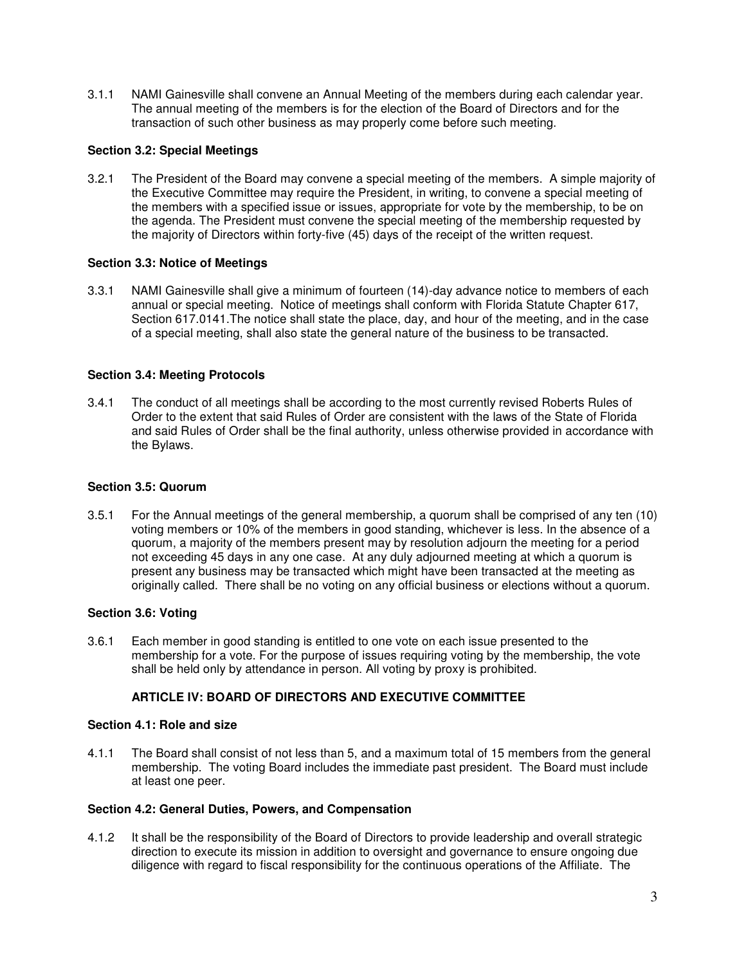3.1.1 NAMI Gainesville shall convene an Annual Meeting of the members during each calendar year. The annual meeting of the members is for the election of the Board of Directors and for the transaction of such other business as may properly come before such meeting.

### **Section 3.2: Special Meetings**

3.2.1 The President of the Board may convene a special meeting of the members. A simple majority of the Executive Committee may require the President, in writing, to convene a special meeting of the members with a specified issue or issues, appropriate for vote by the membership, to be on the agenda. The President must convene the special meeting of the membership requested by the majority of Directors within forty-five (45) days of the receipt of the written request.

### **Section 3.3: Notice of Meetings**

3.3.1 NAMI Gainesville shall give a minimum of fourteen (14)-day advance notice to members of each annual or special meeting. Notice of meetings shall conform with Florida Statute Chapter 617, Section 617.0141.The notice shall state the place, day, and hour of the meeting, and in the case of a special meeting, shall also state the general nature of the business to be transacted.

### **Section 3.4: Meeting Protocols**

3.4.1 The conduct of all meetings shall be according to the most currently revised Roberts Rules of Order to the extent that said Rules of Order are consistent with the laws of the State of Florida and said Rules of Order shall be the final authority, unless otherwise provided in accordance with the Bylaws.

#### **Section 3.5: Quorum**

3.5.1 For the Annual meetings of the general membership, a quorum shall be comprised of any ten (10) voting members or 10% of the members in good standing, whichever is less. In the absence of a quorum, a majority of the members present may by resolution adjourn the meeting for a period not exceeding 45 days in any one case. At any duly adjourned meeting at which a quorum is present any business may be transacted which might have been transacted at the meeting as originally called. There shall be no voting on any official business or elections without a quorum.

#### **Section 3.6: Voting**

3.6.1 Each member in good standing is entitled to one vote on each issue presented to the membership for a vote. For the purpose of issues requiring voting by the membership, the vote shall be held only by attendance in person. All voting by proxy is prohibited.

## **ARTICLE IV: BOARD OF DIRECTORS AND EXECUTIVE COMMITTEE**

### **Section 4.1: Role and size**

4.1.1 The Board shall consist of not less than 5, and a maximum total of 15 members from the general membership. The voting Board includes the immediate past president. The Board must include at least one peer.

#### **Section 4.2: General Duties, Powers, and Compensation**

4.1.2 It shall be the responsibility of the Board of Directors to provide leadership and overall strategic direction to execute its mission in addition to oversight and governance to ensure ongoing due diligence with regard to fiscal responsibility for the continuous operations of the Affiliate. The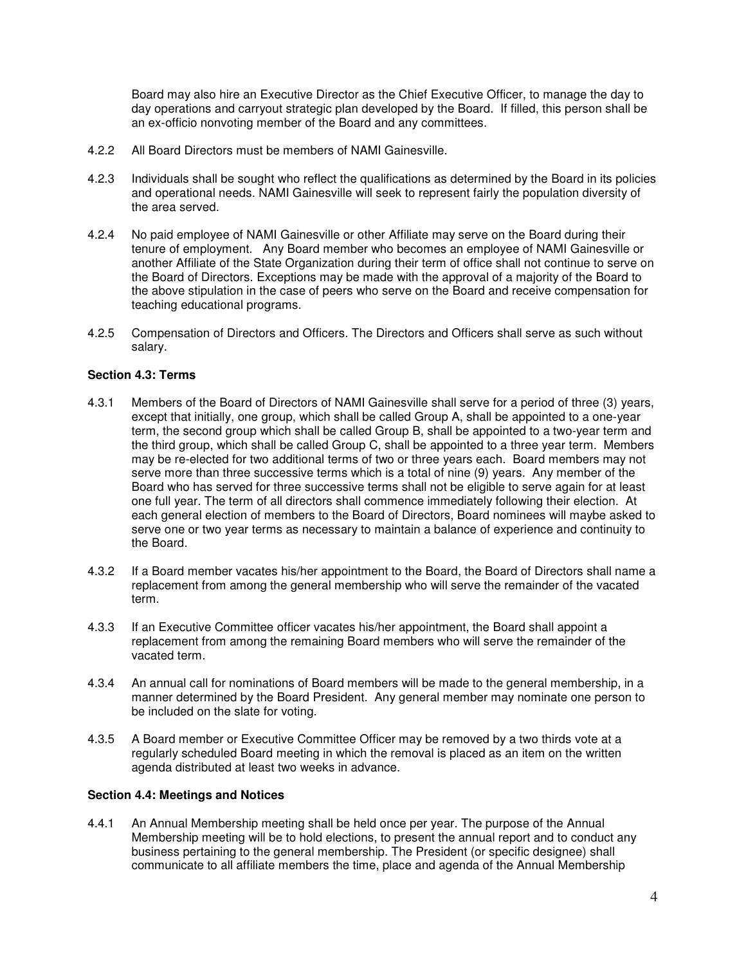Board may also hire an Executive Director as the Chief Executive Officer, to manage the day to day operations and carryout strategic plan developed by the Board. If filled, this person shall be an ex-officio nonvoting member of the Board and any committees.

- 4.2.2 All Board Directors must be members of NAMI Gainesville.
- 4.2.3 Individuals shall be sought who reflect the qualifications as determined by the Board in its policies and operational needs. NAMI Gainesville will seek to represent fairly the population diversity of the area served.
- 4.2.4 No paid employee of NAMI Gainesville or other Affiliate may serve on the Board during their tenure of employment. Any Board member who becomes an employee of NAMI Gainesville or another Affiliate of the State Organization during their term of office shall not continue to serve on the Board of Directors. Exceptions may be made with the approval of a majority of the Board to the above stipulation in the case of peers who serve on the Board and receive compensation for teaching educational programs.
- 4.2.5 Compensation of Directors and Officers. The Directors and Officers shall serve as such without salary.

### **Section 4.3: Terms**

- 4.3.1 Members of the Board of Directors of NAMI Gainesville shall serve for a period of three (3) years, except that initially, one group, which shall be called Group A, shall be appointed to a one-year term, the second group which shall be called Group B, shall be appointed to a two-year term and the third group, which shall be called Group C, shall be appointed to a three year term. Members may be re-elected for two additional terms of two or three years each. Board members may not serve more than three successive terms which is a total of nine (9) years. Any member of the Board who has served for three successive terms shall not be eligible to serve again for at least one full year. The term of all directors shall commence immediately following their election. At each general election of members to the Board of Directors, Board nominees will maybe asked to serve one or two year terms as necessary to maintain a balance of experience and continuity to the Board.
- 4.3.2 If a Board member vacates his/her appointment to the Board, the Board of Directors shall name a replacement from among the general membership who will serve the remainder of the vacated term.
- 4.3.3 If an Executive Committee officer vacates his/her appointment, the Board shall appoint a replacement from among the remaining Board members who will serve the remainder of the vacated term.
- 4.3.4 An annual call for nominations of Board members will be made to the general membership, in a manner determined by the Board President. Any general member may nominate one person to be included on the slate for voting.
- 4.3.5 A Board member or Executive Committee Officer may be removed by a two thirds vote at a regularly scheduled Board meeting in which the removal is placed as an item on the written agenda distributed at least two weeks in advance.

#### **Section 4.4: Meetings and Notices**

4.4.1 An Annual Membership meeting shall be held once per year. The purpose of the Annual Membership meeting will be to hold elections, to present the annual report and to conduct any business pertaining to the general membership. The President (or specific designee) shall communicate to all affiliate members the time, place and agenda of the Annual Membership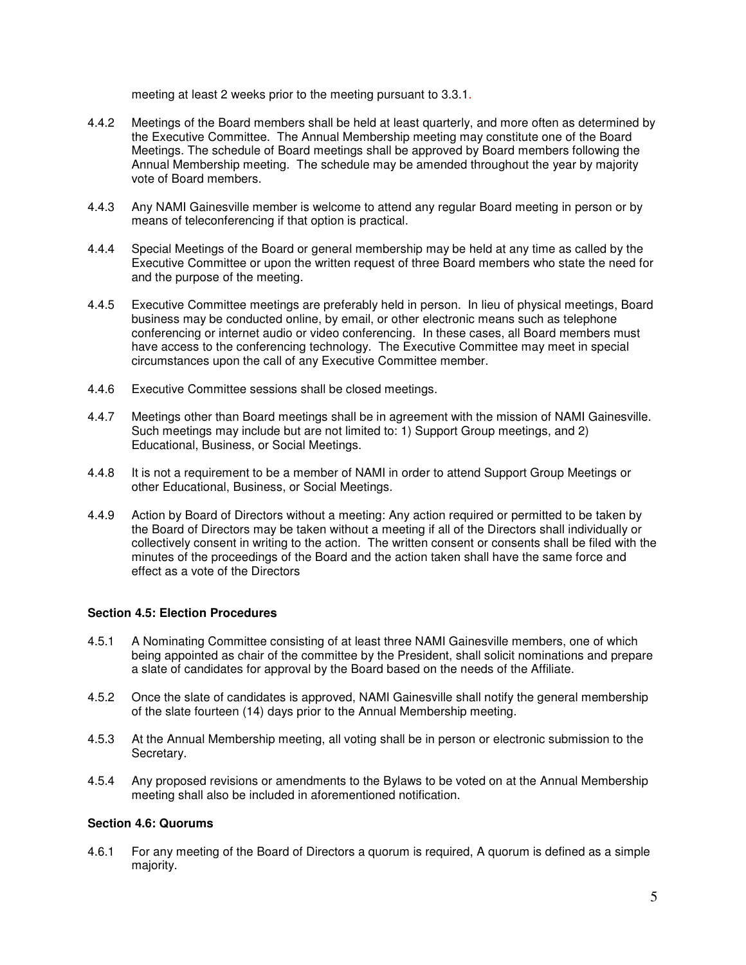meeting at least 2 weeks prior to the meeting pursuant to 3.3.1.

- 4.4.2 Meetings of the Board members shall be held at least quarterly, and more often as determined by the Executive Committee. The Annual Membership meeting may constitute one of the Board Meetings. The schedule of Board meetings shall be approved by Board members following the Annual Membership meeting. The schedule may be amended throughout the year by majority vote of Board members.
- 4.4.3 Any NAMI Gainesville member is welcome to attend any regular Board meeting in person or by means of teleconferencing if that option is practical.
- 4.4.4 Special Meetings of the Board or general membership may be held at any time as called by the Executive Committee or upon the written request of three Board members who state the need for and the purpose of the meeting.
- 4.4.5 Executive Committee meetings are preferably held in person. In lieu of physical meetings, Board business may be conducted online, by email, or other electronic means such as telephone conferencing or internet audio or video conferencing. In these cases, all Board members must have access to the conferencing technology. The Executive Committee may meet in special circumstances upon the call of any Executive Committee member.
- 4.4.6 Executive Committee sessions shall be closed meetings.
- 4.4.7 Meetings other than Board meetings shall be in agreement with the mission of NAMI Gainesville. Such meetings may include but are not limited to: 1) Support Group meetings, and 2) Educational, Business, or Social Meetings.
- 4.4.8 It is not a requirement to be a member of NAMI in order to attend Support Group Meetings or other Educational, Business, or Social Meetings.
- 4.4.9 Action by Board of Directors without a meeting: Any action required or permitted to be taken by the Board of Directors may be taken without a meeting if all of the Directors shall individually or collectively consent in writing to the action. The written consent or consents shall be filed with the minutes of the proceedings of the Board and the action taken shall have the same force and effect as a vote of the Directors

#### **Section 4.5: Election Procedures**

- 4.5.1 A Nominating Committee consisting of at least three NAMI Gainesville members, one of which being appointed as chair of the committee by the President, shall solicit nominations and prepare a slate of candidates for approval by the Board based on the needs of the Affiliate.
- 4.5.2 Once the slate of candidates is approved, NAMI Gainesville shall notify the general membership of the slate fourteen (14) days prior to the Annual Membership meeting.
- 4.5.3 At the Annual Membership meeting, all voting shall be in person or electronic submission to the Secretary.
- 4.5.4 Any proposed revisions or amendments to the Bylaws to be voted on at the Annual Membership meeting shall also be included in aforementioned notification.

#### **Section 4.6: Quorums**

4.6.1 For any meeting of the Board of Directors a quorum is required, A quorum is defined as a simple majority.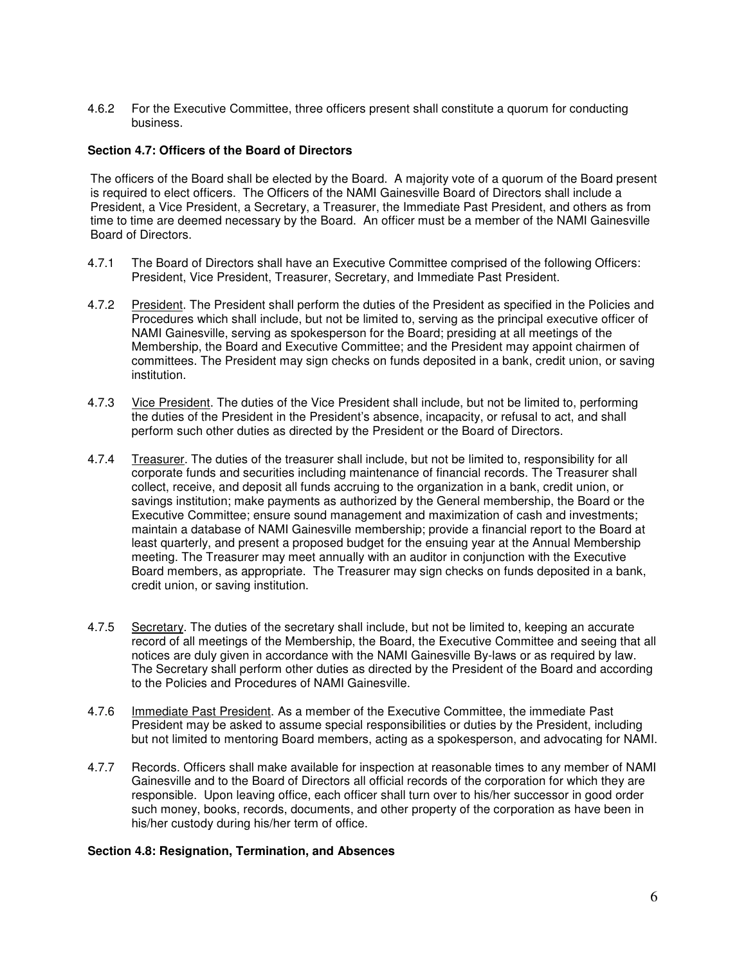4.6.2 For the Executive Committee, three officers present shall constitute a quorum for conducting business.

#### **Section 4.7: Officers of the Board of Directors**

The officers of the Board shall be elected by the Board. A majority vote of a quorum of the Board present is required to elect officers. The Officers of the NAMI Gainesville Board of Directors shall include a President, a Vice President, a Secretary, a Treasurer, the Immediate Past President, and others as from time to time are deemed necessary by the Board. An officer must be a member of the NAMI Gainesville Board of Directors.

- 4.7.1 The Board of Directors shall have an Executive Committee comprised of the following Officers: President, Vice President, Treasurer, Secretary, and Immediate Past President.
- 4.7.2 President. The President shall perform the duties of the President as specified in the Policies and Procedures which shall include, but not be limited to, serving as the principal executive officer of NAMI Gainesville, serving as spokesperson for the Board; presiding at all meetings of the Membership, the Board and Executive Committee; and the President may appoint chairmen of committees. The President may sign checks on funds deposited in a bank, credit union, or saving institution.
- 4.7.3 Vice President. The duties of the Vice President shall include, but not be limited to, performing the duties of the President in the President's absence, incapacity, or refusal to act, and shall perform such other duties as directed by the President or the Board of Directors.
- 4.7.4 Treasurer. The duties of the treasurer shall include, but not be limited to, responsibility for all corporate funds and securities including maintenance of financial records. The Treasurer shall collect, receive, and deposit all funds accruing to the organization in a bank, credit union, or savings institution; make payments as authorized by the General membership, the Board or the Executive Committee; ensure sound management and maximization of cash and investments; maintain a database of NAMI Gainesville membership; provide a financial report to the Board at least quarterly, and present a proposed budget for the ensuing year at the Annual Membership meeting. The Treasurer may meet annually with an auditor in conjunction with the Executive Board members, as appropriate. The Treasurer may sign checks on funds deposited in a bank, credit union, or saving institution.
- 4.7.5 Secretary. The duties of the secretary shall include, but not be limited to, keeping an accurate record of all meetings of the Membership, the Board, the Executive Committee and seeing that all notices are duly given in accordance with the NAMI Gainesville By-laws or as required by law. The Secretary shall perform other duties as directed by the President of the Board and according to the Policies and Procedures of NAMI Gainesville.
- 4.7.6 Immediate Past President. As a member of the Executive Committee, the immediate Past President may be asked to assume special responsibilities or duties by the President, including but not limited to mentoring Board members, acting as a spokesperson, and advocating for NAMI.
- 4.7.7 Records. Officers shall make available for inspection at reasonable times to any member of NAMI Gainesville and to the Board of Directors all official records of the corporation for which they are responsible. Upon leaving office, each officer shall turn over to his/her successor in good order such money, books, records, documents, and other property of the corporation as have been in his/her custody during his/her term of office.

#### **Section 4.8: Resignation, Termination, and Absences**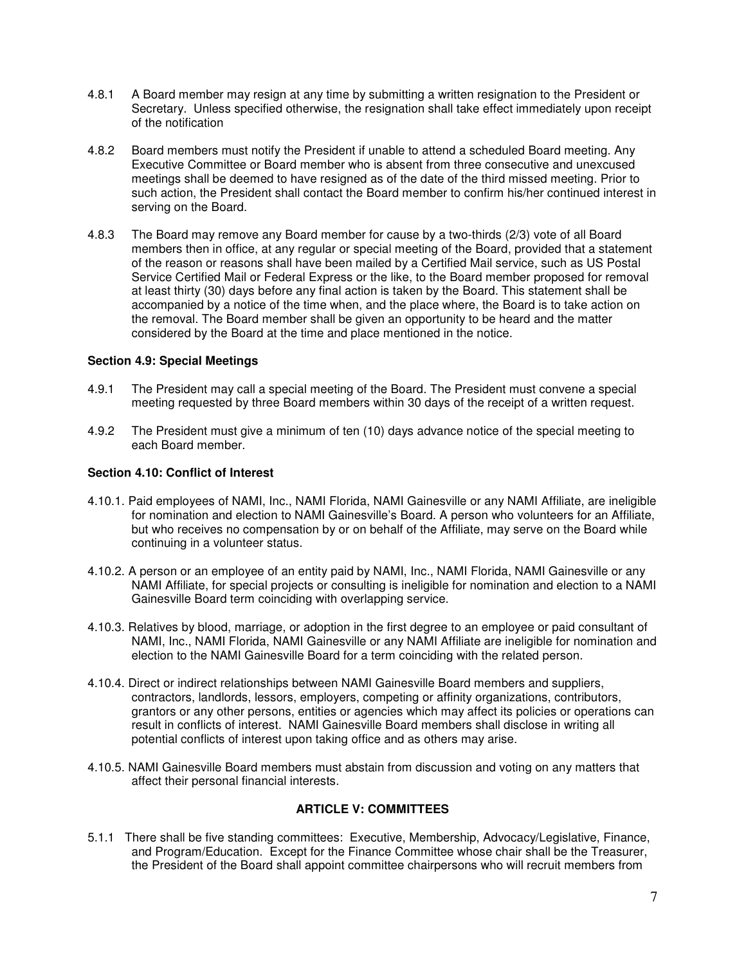- 4.8.1 A Board member may resign at any time by submitting a written resignation to the President or Secretary. Unless specified otherwise, the resignation shall take effect immediately upon receipt of the notification
- 4.8.2 Board members must notify the President if unable to attend a scheduled Board meeting. Any Executive Committee or Board member who is absent from three consecutive and unexcused meetings shall be deemed to have resigned as of the date of the third missed meeting. Prior to such action, the President shall contact the Board member to confirm his/her continued interest in serving on the Board.
- 4.8.3 The Board may remove any Board member for cause by a two-thirds (2/3) vote of all Board members then in office, at any regular or special meeting of the Board, provided that a statement of the reason or reasons shall have been mailed by a Certified Mail service, such as US Postal Service Certified Mail or Federal Express or the like, to the Board member proposed for removal at least thirty (30) days before any final action is taken by the Board. This statement shall be accompanied by a notice of the time when, and the place where, the Board is to take action on the removal. The Board member shall be given an opportunity to be heard and the matter considered by the Board at the time and place mentioned in the notice.

### **Section 4.9: Special Meetings**

- 4.9.1 The President may call a special meeting of the Board. The President must convene a special meeting requested by three Board members within 30 days of the receipt of a written request.
- 4.9.2 The President must give a minimum of ten (10) days advance notice of the special meeting to each Board member.

### **Section 4.10: Conflict of Interest**

- 4.10.1. Paid employees of NAMI, Inc., NAMI Florida, NAMI Gainesville or any NAMI Affiliate, are ineligible for nomination and election to NAMI Gainesville's Board. A person who volunteers for an Affiliate, but who receives no compensation by or on behalf of the Affiliate, may serve on the Board while continuing in a volunteer status.
- 4.10.2. A person or an employee of an entity paid by NAMI, Inc., NAMI Florida, NAMI Gainesville or any NAMI Affiliate, for special projects or consulting is ineligible for nomination and election to a NAMI Gainesville Board term coinciding with overlapping service.
- 4.10.3. Relatives by blood, marriage, or adoption in the first degree to an employee or paid consultant of NAMI, Inc., NAMI Florida, NAMI Gainesville or any NAMI Affiliate are ineligible for nomination and election to the NAMI Gainesville Board for a term coinciding with the related person.
- 4.10.4. Direct or indirect relationships between NAMI Gainesville Board members and suppliers, contractors, landlords, lessors, employers, competing or affinity organizations, contributors, grantors or any other persons, entities or agencies which may affect its policies or operations can result in conflicts of interest. NAMI Gainesville Board members shall disclose in writing all potential conflicts of interest upon taking office and as others may arise.
- 4.10.5. NAMI Gainesville Board members must abstain from discussion and voting on any matters that affect their personal financial interests.

## **ARTICLE V: COMMITTEES**

5.1.1 There shall be five standing committees: Executive, Membership, Advocacy/Legislative, Finance, and Program/Education. Except for the Finance Committee whose chair shall be the Treasurer, the President of the Board shall appoint committee chairpersons who will recruit members from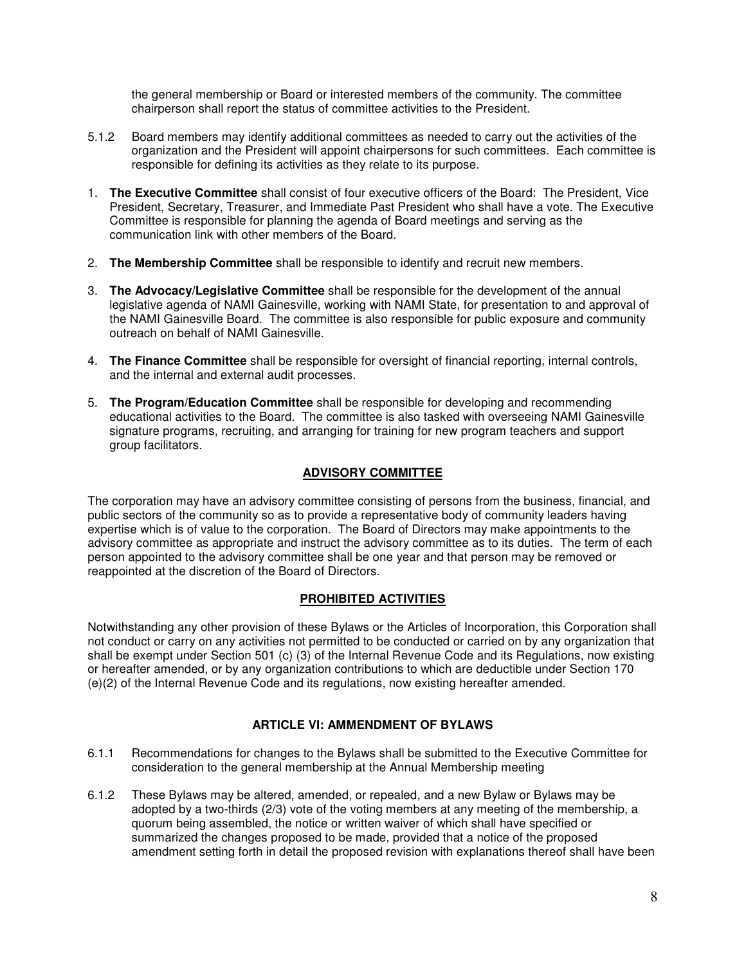the general membership or Board or interested members of the community. The committee chairperson shall report the status of committee activities to the President.

- 5.1.2 Board members may identify additional committees as needed to carry out the activities of the organization and the President will appoint chairpersons for such committees. Each committee is responsible for defining its activities as they relate to its purpose.
- 1. **The Executive Committee** shall consist of four executive officers of the Board: The President, Vice President, Secretary, Treasurer, and Immediate Past President who shall have a vote. The Executive Committee is responsible for planning the agenda of Board meetings and serving as the communication link with other members of the Board.
- 2. **The Membership Committee** shall be responsible to identify and recruit new members.
- 3. **The Advocacy/Legislative Committee** shall be responsible for the development of the annual legislative agenda of NAMI Gainesville, working with NAMI State, for presentation to and approval of the NAMI Gainesville Board. The committee is also responsible for public exposure and community outreach on behalf of NAMI Gainesville.
- 4. **The Finance Committee** shall be responsible for oversight of financial reporting, internal controls, and the internal and external audit processes.
- 5. **The Program/Education Committee** shall be responsible for developing and recommending educational activities to the Board. The committee is also tasked with overseeing NAMI Gainesville signature programs, recruiting, and arranging for training for new program teachers and support group facilitators.

# **ADVISORY COMMITTEE**

The corporation may have an advisory committee consisting of persons from the business, financial, and public sectors of the community so as to provide a representative body of community leaders having expertise which is of value to the corporation. The Board of Directors may make appointments to the advisory committee as appropriate and instruct the advisory committee as to its duties. The term of each person appointed to the advisory committee shall be one year and that person may be removed or reappointed at the discretion of the Board of Directors.

## **PROHIBITED ACTIVITIES**

Notwithstanding any other provision of these Bylaws or the Articles of Incorporation, this Corporation shall not conduct or carry on any activities not permitted to be conducted or carried on by any organization that shall be exempt under Section 501 (c) (3) of the Internal Revenue Code and its Regulations, now existing or hereafter amended, or by any organization contributions to which are deductible under Section 170 (e)(2) of the Internal Revenue Code and its regulations, now existing hereafter amended.

## **ARTICLE VI: AMMENDMENT OF BYLAWS**

- 6.1.1 Recommendations for changes to the Bylaws shall be submitted to the Executive Committee for consideration to the general membership at the Annual Membership meeting
- 6.1.2 These Bylaws may be altered, amended, or repealed, and a new Bylaw or Bylaws may be adopted by a two-thirds (2/3) vote of the voting members at any meeting of the membership, a quorum being assembled, the notice or written waiver of which shall have specified or summarized the changes proposed to be made, provided that a notice of the proposed amendment setting forth in detail the proposed revision with explanations thereof shall have been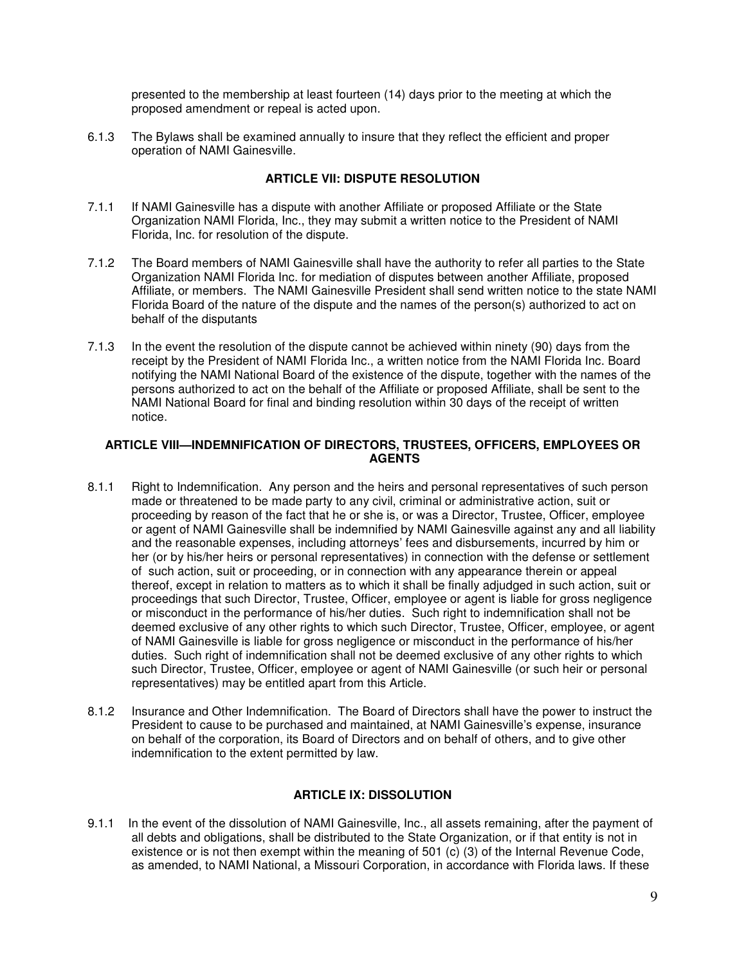presented to the membership at least fourteen (14) days prior to the meeting at which the proposed amendment or repeal is acted upon.

6.1.3 The Bylaws shall be examined annually to insure that they reflect the efficient and proper operation of NAMI Gainesville.

# **ARTICLE VII: DISPUTE RESOLUTION**

- 7.1.1 If NAMI Gainesville has a dispute with another Affiliate or proposed Affiliate or the State Organization NAMI Florida, Inc., they may submit a written notice to the President of NAMI Florida, Inc. for resolution of the dispute.
- 7.1.2 The Board members of NAMI Gainesville shall have the authority to refer all parties to the State Organization NAMI Florida Inc. for mediation of disputes between another Affiliate, proposed Affiliate, or members. The NAMI Gainesville President shall send written notice to the state NAMI Florida Board of the nature of the dispute and the names of the person(s) authorized to act on behalf of the disputants
- 7.1.3 In the event the resolution of the dispute cannot be achieved within ninety (90) days from the receipt by the President of NAMI Florida Inc., a written notice from the NAMI Florida Inc. Board notifying the NAMI National Board of the existence of the dispute, together with the names of the persons authorized to act on the behalf of the Affiliate or proposed Affiliate, shall be sent to the NAMI National Board for final and binding resolution within 30 days of the receipt of written notice.

### **ARTICLE VIII—INDEMNIFICATION OF DIRECTORS, TRUSTEES, OFFICERS, EMPLOYEES OR AGENTS**

- 8.1.1 Right to Indemnification. Any person and the heirs and personal representatives of such person made or threatened to be made party to any civil, criminal or administrative action, suit or proceeding by reason of the fact that he or she is, or was a Director, Trustee, Officer, employee or agent of NAMI Gainesville shall be indemnified by NAMI Gainesville against any and all liability and the reasonable expenses, including attorneys' fees and disbursements, incurred by him or her (or by his/her heirs or personal representatives) in connection with the defense or settlement of such action, suit or proceeding, or in connection with any appearance therein or appeal thereof, except in relation to matters as to which it shall be finally adjudged in such action, suit or proceedings that such Director, Trustee, Officer, employee or agent is liable for gross negligence or misconduct in the performance of his/her duties. Such right to indemnification shall not be deemed exclusive of any other rights to which such Director, Trustee, Officer, employee, or agent of NAMI Gainesville is liable for gross negligence or misconduct in the performance of his/her duties. Such right of indemnification shall not be deemed exclusive of any other rights to which such Director, Trustee, Officer, employee or agent of NAMI Gainesville (or such heir or personal representatives) may be entitled apart from this Article.
- 8.1.2 Insurance and Other Indemnification. The Board of Directors shall have the power to instruct the President to cause to be purchased and maintained, at NAMI Gainesville's expense, insurance on behalf of the corporation, its Board of Directors and on behalf of others, and to give other indemnification to the extent permitted by law.

## **ARTICLE IX: DISSOLUTION**

9.1.1 In the event of the dissolution of NAMI Gainesville, Inc., all assets remaining, after the payment of all debts and obligations, shall be distributed to the State Organization, or if that entity is not in existence or is not then exempt within the meaning of 501 (c) (3) of the Internal Revenue Code, as amended, to NAMI National, a Missouri Corporation, in accordance with Florida laws. If these